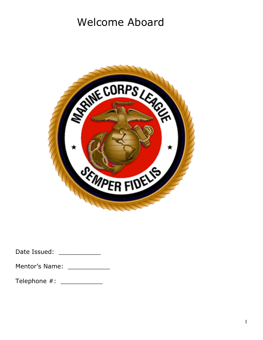# Welcome Aboard



| Date Issued: |  |
|--------------|--|
|--------------|--|

| Mentor's Name: |  |
|----------------|--|
|                |  |

Telephone #: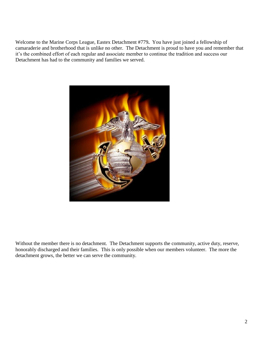Welcome to the Marine Corps League, Eastex Detachment #779**.** You have just joined a fellowship of camaraderie and brotherhood that is unlike no other. The Detachment is proud to have you and remember that it's the combined effort of each regular and associate member to continue the tradition and success our Detachment has had to the community and families we served.



Without the member there is no detachment. The Detachment supports the community, active duty, reserve, honorably discharged and their families. This is only possible when our members volunteer. The more the detachment grows, the better we can serve the community.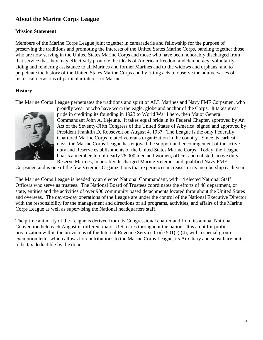# **About the Marine Corps League**

#### **Mission Statement**

Members of the Marine Corps League joint together in camaraderie and fellowship for the purpose of preserving the traditions and promoting the interests of the United States Marine Corps, banding together those who are now serving in the United States Marine Corps and those who have been honorably discharged from that service that they may effectively promote the ideals of American freedom and democracy, voluntarily aiding and rendering assistance to all Marines and former Marines and to the widows and orphans; and to perpetuate the history of the United States Marine Corps and by fitting acts to observe the anniversaries of historical occasions of particular interest to Marines.

# **History**

The Marine Corps League perpetuates the traditions and spirit of ALL Marines and Navy FMF Corpsmen, who



proudly wear or who have worn the eagle, globe and anchor of the Corps. It takes great pride in crediting its founding in 1923 to World War I hero, then Major General Commandant John A. Lejeune. It takes equal pride in its Federal Chapter, approved by An Act of the Seventy-Fifth Congress of the United States of America, signed and approved by President Franklin D. Roosevelt on August 4, 1937. The League is the only Federally Chartered Marine Corps related veterans organization in the country. Since its earliest days, the Marine Corps League has enjoyed the support and encouragement of the active duty and Reserve establishments of the United States Marine Corps. Today, the League boasts a membership of nearly 76,000 men and women, officer and enlisted, active duty, Reserve Marines, honorably discharged Marine Veterans and qualified Navy FMF

Corpsmen and is one of the few Veterans Organizations that experiences increases in its membership each year.

The Marine Corps League is headed by an elected National Commandant, with 14 elected National Staff Officers who serve as trustees. The National Board of Trustees coordinates the efforts of 48 department, or state, entities and the activities of over 900 community based detachments located throughout the United States and overseas. The day-to-day operations of the League are under the control of the National Executive Director with the responsibility for the management and directions of all programs, activities, and affairs of the Marine Corps League as well as supervising the National headquarters staff.

The prime authority of the League is derived from its Congressional charter and from its annual National Convention held each August in different major U.S. cities throughout the nation. It is a not for profit organization within the provisions of the Internal Revenue Service Code  $501(c)$  (4), with a special group exemption letter which allows for contributions to the Marine Corps League, its Auxiliary and subsidiary units, to be tax deductible by the donor.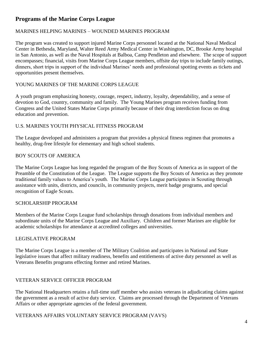# **Programs of the Marine Corps League**

## MARINES HELPING MARINES – WOUNDED MARINES PROGRAM

The program was created to support injured Marine Corps personnel located at the National Naval Medical Center in Bethesda, Maryland, Walter Reed Army Medical Center in Washington, DC, Brooke Army hospital in San Antonio, as well as the Naval Hospitals at Balboa, Camp Pendleton and elsewhere. The scope of support encompasses; financial, visits from Marine Corps League members, offsite day trips to include family outings, dinners, short trips in support of the individual Marines' needs and professional spotting events as tickets and opportunities present themselves.

#### YOUNG MARINES OF THE MARINE CORPS LEAGUE

A youth program emphasizing honesty, courage, respect, industry, loyalty, dependability, and a sense of devotion to God, country, community and family. The Young Marines program receives funding from Congress and the United States Marine Corps primarily because of their drug interdiction focus on drug education and prevention.

#### U.S. MARINES YOUTH PHYSICAL FITNESS PROGRAM

The League developed and administers a program that provides a physical fitness regimen that promotes a healthy, drug-free lifestyle for elementary and high school students.

## BOY SCOUTS OF AMERICA

The Marine Corps League has long regarded the program of the Boy Scouts of America as in support of the Preamble of the Constitution of the League. The League supports the Boy Scouts of America as they promote traditional family values to America's youth. The Marine Corps League participates in Scouting through assistance with units, districts, and councils, in community projects, merit badge programs, and special recognition of Eagle Scouts.

#### SCHOLARSHIP PROGRAM

Members of the Marine Corps League fund scholarships through donations from individual members and subordinate units of the Marine Corps League and Auxiliary. Children and former Marines are eligible for academic scholarships for attendance at accredited colleges and universities.

#### LEGISLATIVE PROGRAM

The Marine Corps League is a member of The Military Coalition and participates in National and State legislative issues that affect military readiness, benefits and entitlements of active duty personnel as well as Veterans Benefits programs effecting former and retired Marines.

#### VETERAN SERVICE OFFICER PROGRAM

The National Headquarters retains a full-time staff member who assists veterans in adjudicating claims against the government as a result of active duty service. Claims are processed through the Department of Veterans Affairs or other appropriate agencies of the federal government.

#### VETERANS AFFAIRS VOLUNTARY SERVICE PROGRAM (VAVS)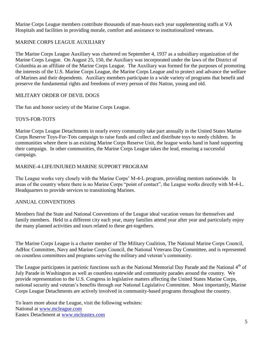Marine Corps League members contribute thousands of man-hours each year supplementing staffs at VA Hospitals and facilities in providing morale, comfort and assistance to institutionalized veterans.

# MARINE CORPS LEAGUE AUXILIARY

The Marine Corps League Auxiliary was chartered on September 4, 1937 as a subsidiary organization of the Marine Corps League. On August 25, 150, the Auxiliary was incorporated under the laws of the District of Columbia as an affiliate of the Marine Corps League. The Auxiliary was formed for the purposes of promoting the interests of the U.S. Marine Corps League, the Marine Corps League and to protect and advance the welfare of Marines and their dependents. Auxiliary members participate in a wide variety of programs that benefit and preserve the fundamental rights and freedoms of every person of this Nation, young and old.

#### MILITARY ORDER OF DEVIL DOGS

The fun and honor society of the Marine Corps League.

#### TOYS-FOR-TOTS

Marine Corps League Detachments in nearly every community take part annually in the United States Marine Corps Reserve Toys-For-Tots campaign to raise funds and collect and distribute toys to needy children. In communities where there is an existing Marine Corps Reserve Unit, the league works hand in hand supporting their campaign. In other communities, the Marine Corps League takes the lead, ensuring a successful campaign.

#### MARINE-4-LIFE/INJURED MARINE SUPPORT PROGRAM

The League works very closely with the Marine Corps' M-4-L program, providing mentors nationwide. In areas of the country where there is no Marine Corps "point of contact", the League works directly with M-4-L. Headquarters to provide services to transitioning Marines.

#### ANNUAL CONVENTIONS

Members find the State and National Conventions of the League ideal vacation venues for themselves and family members. Held in a different city each year, many families attend year after year and particularly enjoy the many planned activities and tours related to these get-togethers.

The Marine Corps League is a charter member of The Military Coalition, The National Marine Corps Council, AdHoc Committee, Navy and Marine Corps Council, the National Veterans Day Committee, and is represented on countless committees and programs serving the military and veteran's community.

The League participates in patriotic functions such as the National Memorial Day Parade and the National 4<sup>th</sup> of July Parade in Washington as well as countless statewide and community parades around the country. We provide representation to the U.S. Congress in legislative matters affecting the United States Marine Corps, national security and veteran's benefits through our National Legislative Committee. Most importantly, Marine Corps League Detachments are actively involved in community-based programs throughout the country.

To learn more about the League, visit the following websites: National at [www.mcleague.com](http://www.mcleague.com/) Eastex Detachment at [www.mcleastex.com](http://www.mcleastex.com/)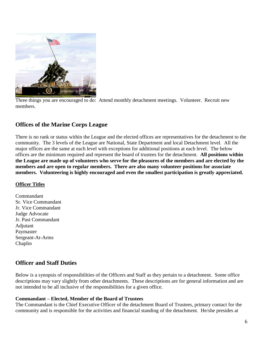

Three things you are encouraged to do: Attend monthly detachment meetings. Volunteer. Recruit new members.

# **Offices of the Marine Corps League**

There is no rank or status within the League and the elected offices are representatives for the detachment to the community. The 3 levels of the League are National, State Department and local Detachment level. All the major offices are the same at each level with exceptions for additional positions at each level. The below offices are the minimum required and represent the board of trustees for the detachment. **All positions within the League are made up of volunteers who serve for the pleasures of the members and are elected by the members and are open to regular members. There are also many volunteer positions for associate members. Volunteering is highly encouraged and even the smallest participation is greatly appreciated.** 

#### **Officer Titles**

Commandant Sr. Vice Commandant Jr. Vice Commandant Judge Advocate Jr. Past Commandant Adjutant Paymaster Sergeant-At-Arms Chaplin

# **Officer and Staff Duties**

Below is a synopsis of responsibilities of the Officers and Staff as they pertain to a detachment. Some office descriptions may vary slightly from other detachments. These descriptions are for general information and are not intended to be all inclusive of the responsibilities for a given office.

#### **Commandant – Elected, Member of the Board of Trustees**

The Commandant is the Chief Executive Officer of the detachment Board of Trustees, primary contact for the community and is responsible for the activities and financial standing of the detachment. He/she presides at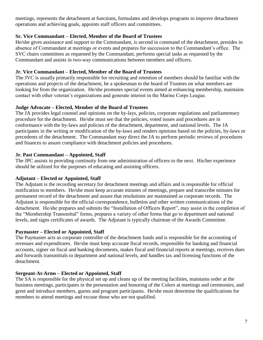meetings, represents the detachment at functions, formulates and develops programs to improve detachment operations and achieving goals, appoints staff officers and committees.

## **Sr. Vice Commandant – Elected, Member of the Board of Trustees**

He/she gives assistance and support to the Commandant, is second in command of the detachment, presides in absence of Commandant at meetings or events and prepares for succession to the Commandant's office. The SVC chairs committees as requested by the Commandant, performs special tasks as requested by the Commandant and assists in two-way communications between members and officers.

#### **Jr. Vice Commandant – Elected, Member of the Board of Trustees**

The JVC is usually primarily responsible for recruiting and retention of members should be familiar with the operations and projects of the detachment, be a spokesman to the board of Trustees on what members are looking for from the organization. He/she promotes special events aimed at enhancing membership, maintains contact with other veteran's organizations and generate interest in the Marine Corps League.

## **Judge Advocate – Elected, Member of the Board of Trustees**

The JA provides legal counsel and opinions on the by-lays, policies, corporate regulations and parliamentary procedure for the detachment. He/she must see that the policies, voted issues and procedures are in conformance with the by-laws and policies of the detachment, department, and national levels. The JA participates in the writing or modification of the by-laws and renders opinions based on the policies, by-laws or precedents of the detachment. The Commandant may direct the JA to perform periodic reviews of procedures and finances to assure compliance with detachment policies and procedures.

## **Jr. Past Commandant – Appointed, Staff**

The JPC assists in providing continuity from one administration of officers to the next. His/her experience should be utilized for the purposes of educating and assisting officers.

# **Adjutant – Elected or Appointed, Staff**

The Adjutant is the recording secretary for detachment meetings and affairs and is responsible for official notification to members. He/she must keep accurate minutes of meetings, prepare and transcribe minutes for permanent record of the detachment and assure that resolutions are maintained as corporate records. The Adjutant is responsible for the official correspondence, bulletins and other written communications of the detachment. He/she prepares and submits the "Installation of Officers Report", may assist in the completion of the "Membership Transmittal" forms, prepares a variety of other forms that go to department and national levels, and signs certificates of awards. The Adjutant is typically chairman of the Awards Committee.

# **Paymaster – Elected or Appointed, Staff**

The Paymaster acts as corporate controller of the detachment funds and is responsible for the accounting of revenues and expenditures. He/she must keep accurate fiscal records, responsible for banking and financial accounts, signer on fiscal and banking documents, makes fiscal and financial reports at meetings, receives dues and forwards transmittals to department and national levels, and handles tax and licensing functions of the detachment.

#### **Sergeant-At-Arms – Elected or Appointed, Staff**

The SA is responsible for the physical set up and cleans up of the meeting facilities, maintains order at the business meetings, participates in the presentation and honoring of the Colors at meetings and ceremonies, and greet and introduce members, guests and program participants. He/she must determine the qualifications for members to attend meetings and excuse those who are not qualified.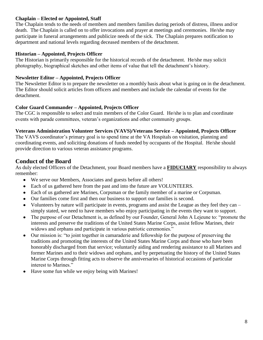## **Chaplain – Elected or Appointed, Staff**

The Chaplain tends to the needs of members and members families during periods of distress, illness and/or death. The Chaplain is called on to offer invocations and prayer at meetings and ceremonies. He/she may participate in funeral arrangements and publicize needs of the sick. The Chaplain prepares notification to department and national levels regarding deceased members of the detachment.

#### **Historian – Appointed, Projects Officer**

The Historian is primarily responsible for the historical records of the detachment. He/she may solicit photography, biographical sketches and other items of value that tell the detachment's history.

#### **Newsletter Editor – Appointed, Projects Officer**

The Newsletter Editor is to prepare the newsletter on a monthly basis about what is going on in the detachment. The Editor should solicit articles from officers and members and include the calendar of events for the detachment.

#### **Color Guard Commander – Appointed, Projects Officer**

The CGC is responsible to select and train members of the Color Guard. He/she is to plan and coordinate events with parade committees, veteran's organizations and other community groups.

#### **Veterans Administration Volunteer Services (VAVS)/Veterans Service – Appointed, Projects Officer**

The VAVS coordinator's primary goal is to spend time at the VA Hospitals on visitation, planning and coordinating events, and soliciting donations of funds needed by occupants of the Hospital. He/she should provide direction to various veteran assistance programs.

# **Conduct of the Board**

As duly elected Officers of the Detachment, your Board members have a **FIDUCIARY** responsibility to always remember:

- We serve our Members, Associates and guests before all others!  $\bullet$
- Each of us gathered here from the past and into the future are VOLUNTEERS.  $\bullet$
- Each of us gathered are Marines, Corpsman or the family member of a marine or Corpsman.
- Our families come first and then our business to support our families is second.
- Volunteers by nature will participate in events, programs and assist the League as they feel they can simply stated, we need to have members who enjoy participating in the events they want to support.
- The purpose of our Detachment is, as defined by our Founder, General John A Lejeune to: "promote the  $\bullet$ interests and preserve the traditions of the United States Marine Corps, assist fellow Marines, their widows and orphans and participate in various patriotic ceremonies."
- Our mission is: "to joint together in camaraderie and fellowship for the purpose of preserving the  $\bullet$ traditions and promoting the interests of the United States Marine Corps and those who have been honorably discharged from that service; voluntarily aiding and rendering assistance to all Marines and former Marines and to their widows and orphans, and by perpetuating the history of the United States Marine Corps through fitting acts to observe the anniversaries of historical occasions of particular interest to Marines."
- Have some fun while we enjoy being with Marines!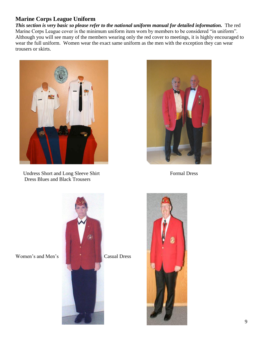# **Marine Corps League Uniform**

*This section is very basic so please refer to the national uniform manual for detailed information.* The red Marine Corps League cover is the minimum uniform item worn by members to be considered "in uniform". Although you will see many of the members wearing only the red cover to meetings, it is highly encouraged to wear the full uniform. Women wear the exact same uniform as the men with the exception they can wear trousers or skirts.



Undress Short and Long Sleeve Shirt Formal Dress Dress Blues and Black Trousers





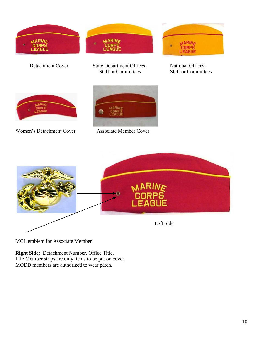



MCL emblem for Associate Member

**Right Side:** Detachment Number, Office Title, Life Member strips are only items to be put on cover, MODD members are authorized to wear patch.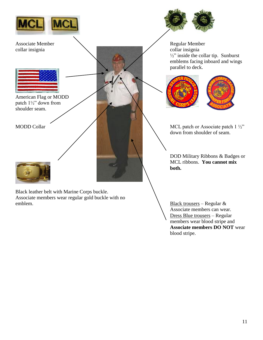

Associate Member Regular Member collar insignia collar insignia



American Flag or MODD patch 1½" down from shoulder seam.



Black leather belt with Marine Corps buckle. Associate members wear regular gold buckle with no emblem. Black trousers – Regular &



 $\frac{1}{2}$ " inside the collar tip. Sunburst emblems facing inboard and wings parallel to deck.





MODD Collar  $\overline{\phantom{a}}$  MCL patch or Associate patch 1  $\frac{1}{2}$ down from shoulder of seam.

> DOD Military Ribbons & Badges or MCL ribbons. **You cannot mix both.**

> Associate members can wear. Dress Blue trousers – Regular members wear blood stripe and **Associate members DO NOT** wear blood stripe.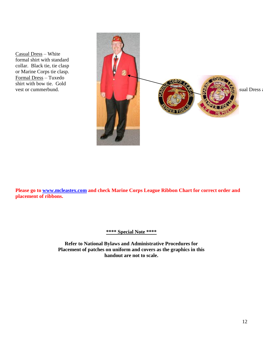Casual Dress – White formal shirt with standard collar. Black tie, tie clasp or Marine Corps tie clasp. Formal Dress – Tuxedo shirt with bow tie. Gold



**Please go to [www.mcleastex.com](http://www.mcleastex.com/) and check Marine Corps League Ribbon Chart for correct order and placement of ribbons.**

**\*\*\*\* Special Note \*\*\*\***

**Refer to National Bylaws and Administrative Procedures for Placement of patches on uniform and covers as the graphics in this handout are not to scale.**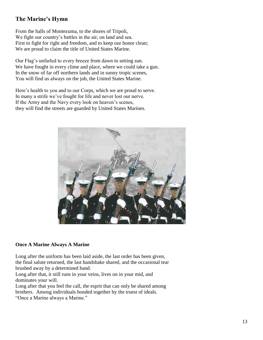# **The Marine's Hymn**

From the halls of Montezuma, to the shores of Tripoli, We fight our country's battles in the air, on land and sea. First to fight for right and freedom, and to keep our honor clean; We are proud to claim the title of United States Marine.

Our Flag's unfurled to every breeze from dawn to setting sun. We have fought in every clime and place, where we could take a gun. In the snow of far off northern lands and in sunny tropic scenes, You will find us always on the job, the United States Marine.

Here's health to you and to our Corps, which we are proud to serve. In many a strife we've fought for life and never lost our nerve. If the Army and the Navy every look on heaven's scenes, they will find the streets are guarded by United States Marines.



#### **Once A Marine Always A Marine**

Long after the uniform has been laid aside, the last order has been given, the final salute returned, the last handshake shared, and the occasional tear brushed away by a determined hand.

Long after that, it still runs in your veins, lives on in your mid, and dominates your will.

Long after that you feel the call, the esprit that can only be shared among brothers. Among individuals bonded together by the truest of ideals. "Once a Marine always a Marine."